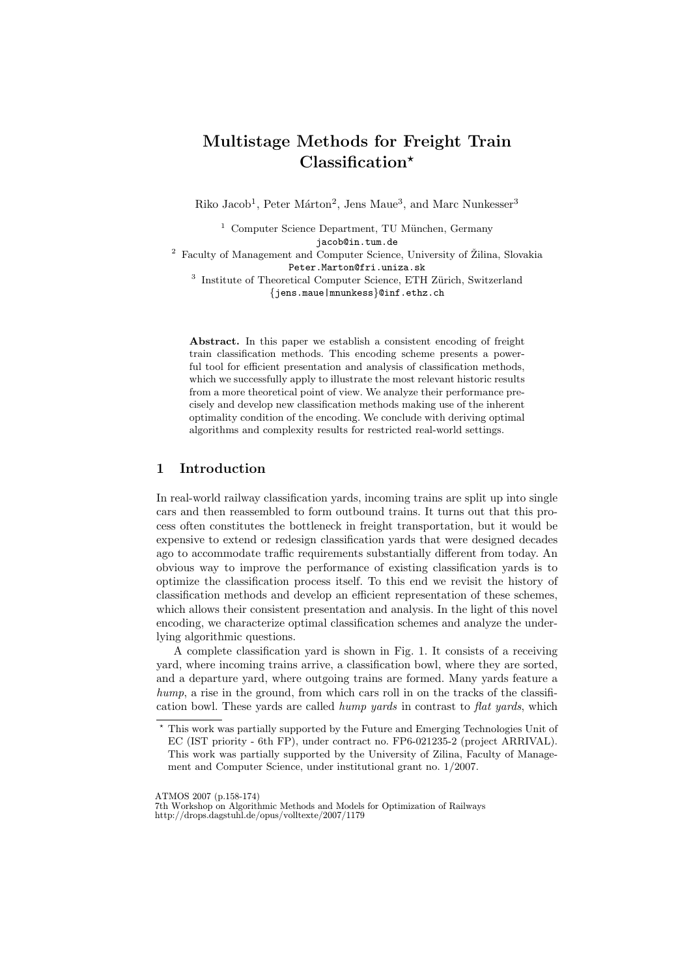# Multistage Methods for Freight Train Classification\*

Riko Jacob<sup>1</sup>, Peter Márton<sup>2</sup>, Jens Maue<sup>3</sup>, and Marc Nunkesser<sup>3</sup>

 $1$  Computer Science Department, TU München, Germany jacob@in.tum.de

 $^2\,$  Faculty of Management and Computer Science, University of Žilina, Slovakia Peter.Marton@fri.uniza.sk

<sup>3</sup> Institute of Theoretical Computer Science, ETH Zürich, Switzerland {jens.maue|mnunkess}@inf.ethz.ch

Abstract. In this paper we establish a consistent encoding of freight train classification methods. This encoding scheme presents a powerful tool for efficient presentation and analysis of classification methods, which we successfully apply to illustrate the most relevant historic results from a more theoretical point of view. We analyze their performance precisely and develop new classification methods making use of the inherent optimality condition of the encoding. We conclude with deriving optimal algorithms and complexity results for restricted real-world settings.

## 1 Introduction

In real-world railway classification yards, incoming trains are split up into single cars and then reassembled to form outbound trains. It turns out that this process often constitutes the bottleneck in freight transportation, but it would be expensive to extend or redesign classification yards that were designed decades ago to accommodate traffic requirements substantially different from today. An obvious way to improve the performance of existing classification yards is to optimize the classification process itself. To this end we revisit the history of classification methods and develop an efficient representation of these schemes, which allows their consistent presentation and analysis. In the light of this novel encoding, we characterize optimal classification schemes and analyze the underlying algorithmic questions.

A complete classification yard is shown in Fig. 1. It consists of a receiving yard, where incoming trains arrive, a classification bowl, where they are sorted, and a departure yard, where outgoing trains are formed. Many yards feature a hump, a rise in the ground, from which cars roll in on the tracks of the classification bowl. These vards are called *hump yards* in contrast to flat *yards*, which

ATMOS 2007 (p.158-174)

<sup>?</sup> This work was partially supported by the Future and Emerging Technologies Unit of EC (IST priority - 6th FP), under contract no. FP6-021235-2 (project ARRIVAL). This work was partially supported by the University of Zilina, Faculty of Management and Computer Science, under institutional grant no. 1/2007.

<sup>7</sup>th Workshop on Algorithmic Methods and Models for Optimization of Railways http://drops.dagstuhl.de/opus/volltexte/2007/1179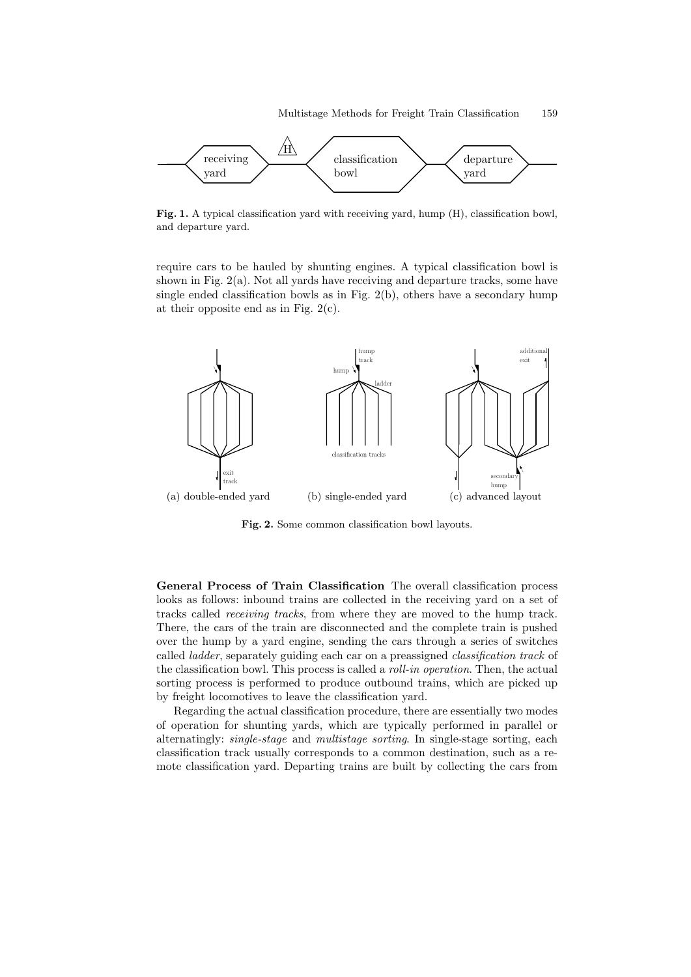

Fig. 1. A typical classification yard with receiving yard, hump (H), classification bowl, and departure yard.

require cars to be hauled by shunting engines. A typical classification bowl is shown in Fig. 2(a). Not all yards have receiving and departure tracks, some have single ended classification bowls as in Fig. 2(b), others have a secondary hump at their opposite end as in Fig.  $2(c)$ .



Fig. 2. Some common classification bowl layouts.

General Process of Train Classification The overall classification process looks as follows: inbound trains are collected in the receiving yard on a set of tracks called receiving tracks, from where they are moved to the hump track. There, the cars of the train are disconnected and the complete train is pushed over the hump by a yard engine, sending the cars through a series of switches called ladder, separately guiding each car on a preassigned classification track of the classification bowl. This process is called a roll-in operation. Then, the actual sorting process is performed to produce outbound trains, which are picked up by freight locomotives to leave the classification yard.

Regarding the actual classification procedure, there are essentially two modes of operation for shunting yards, which are typically performed in parallel or alternatingly: single-stage and multistage sorting. In single-stage sorting, each classification track usually corresponds to a common destination, such as a remote classification yard. Departing trains are built by collecting the cars from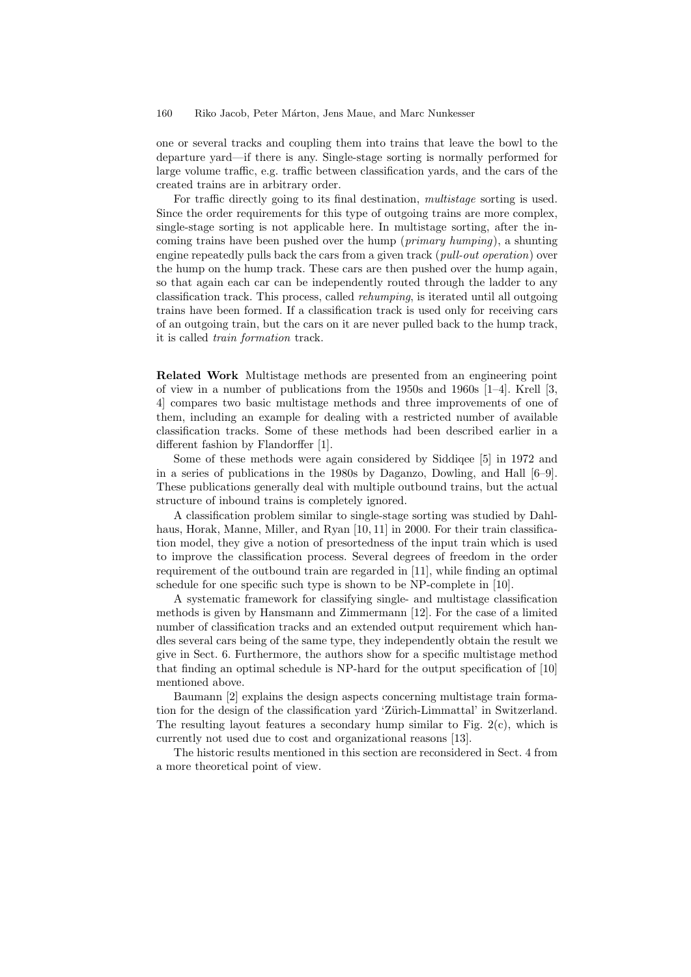one or several tracks and coupling them into trains that leave the bowl to the departure yard—if there is any. Single-stage sorting is normally performed for large volume traffic, e.g. traffic between classification yards, and the cars of the created trains are in arbitrary order.

For traffic directly going to its final destination, multistage sorting is used. Since the order requirements for this type of outgoing trains are more complex, single-stage sorting is not applicable here. In multistage sorting, after the incoming trains have been pushed over the hump (primary humping), a shunting engine repeatedly pulls back the cars from a given track (*pull-out operation*) over the hump on the hump track. These cars are then pushed over the hump again, so that again each car can be independently routed through the ladder to any classification track. This process, called rehumping, is iterated until all outgoing trains have been formed. If a classification track is used only for receiving cars of an outgoing train, but the cars on it are never pulled back to the hump track, it is called train formation track.

Related Work Multistage methods are presented from an engineering point of view in a number of publications from the 1950s and 1960s [1–4]. Krell [3, 4] compares two basic multistage methods and three improvements of one of them, including an example for dealing with a restricted number of available classification tracks. Some of these methods had been described earlier in a different fashion by Flandorffer [1].

Some of these methods were again considered by Siddiqee [5] in 1972 and in a series of publications in the 1980s by Daganzo, Dowling, and Hall [6–9]. These publications generally deal with multiple outbound trains, but the actual structure of inbound trains is completely ignored.

A classification problem similar to single-stage sorting was studied by Dahlhaus, Horak, Manne, Miller, and Ryan [10, 11] in 2000. For their train classification model, they give a notion of presortedness of the input train which is used to improve the classification process. Several degrees of freedom in the order requirement of the outbound train are regarded in [11], while finding an optimal schedule for one specific such type is shown to be NP-complete in [10].

A systematic framework for classifying single- and multistage classification methods is given by Hansmann and Zimmermann [12]. For the case of a limited number of classification tracks and an extended output requirement which handles several cars being of the same type, they independently obtain the result we give in Sect. 6. Furthermore, the authors show for a specific multistage method that finding an optimal schedule is NP-hard for the output specification of [10] mentioned above.

Baumann [2] explains the design aspects concerning multistage train formation for the design of the classification yard 'Zürich-Limmattal' in Switzerland. The resulting layout features a secondary hump similar to Fig. 2(c), which is currently not used due to cost and organizational reasons [13].

The historic results mentioned in this section are reconsidered in Sect. 4 from a more theoretical point of view.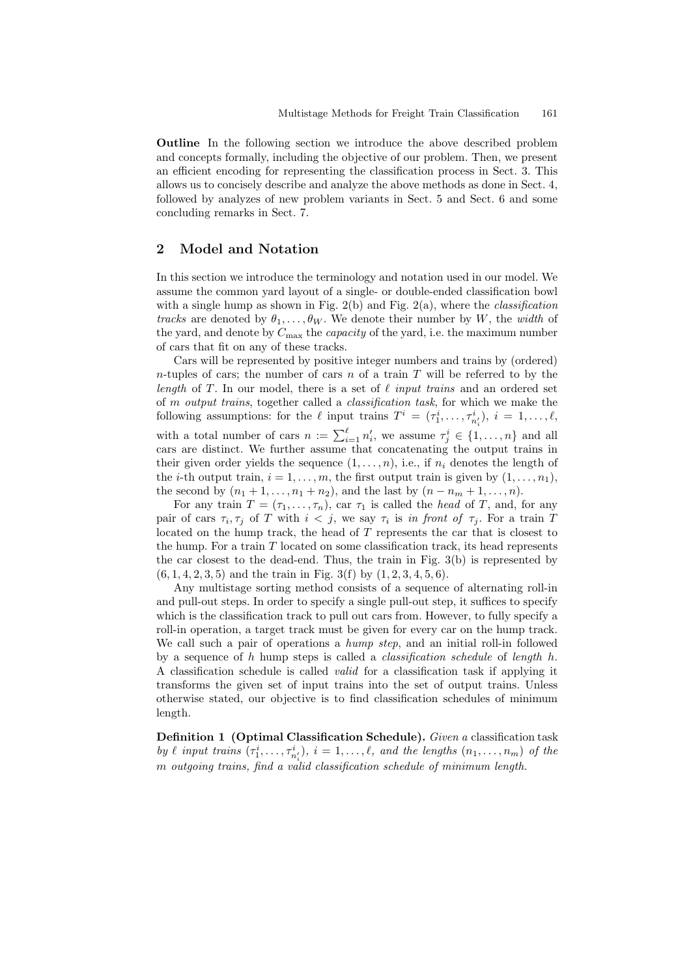Outline In the following section we introduce the above described problem and concepts formally, including the objective of our problem. Then, we present an efficient encoding for representing the classification process in Sect. 3. This allows us to concisely describe and analyze the above methods as done in Sect. 4, followed by analyzes of new problem variants in Sect. 5 and Sect. 6 and some concluding remarks in Sect. 7.

## 2 Model and Notation

In this section we introduce the terminology and notation used in our model. We assume the common yard layout of a single- or double-ended classification bowl with a single hump as shown in Fig. 2(b) and Fig. 2(a), where the *classification* tracks are denoted by  $\theta_1, \ldots, \theta_W$ . We denote their number by W, the width of the yard, and denote by  $C_{\text{max}}$  the *capacity* of the yard, i.e. the maximum number of cars that fit on any of these tracks.

Cars will be represented by positive integer numbers and trains by (ordered) n-tuples of cars; the number of cars  $n$  of a train  $T$  will be referred to by the length of T. In our model, there is a set of  $\ell$  input trains and an ordered set of m output trains, together called a classification task, for which we make the following assumptions: for the  $\ell$  input trains  $T^i = (\tau_1^i, \ldots, \tau_{n_i^i}^i), i = 1, \ldots, \ell$ , with a total number of cars  $n := \sum_{i=1}^{\ell} n'_i$ , we assume  $\tau_j^i \in \{1, ..., n\}$  and all cars are distinct. We further assume that concatenating the output trains in their given order yields the sequence  $(1, \ldots, n)$ , i.e., if  $n_i$  denotes the length of the *i*-th output train,  $i = 1, \ldots, m$ , the first output train is given by  $(1, \ldots, n_1)$ , the second by  $(n_1 + 1, ..., n_1 + n_2)$ , and the last by  $(n - n_m + 1, ..., n)$ .

For any train  $T = (\tau_1, \ldots, \tau_n)$ , car  $\tau_1$  is called the *head* of T, and, for any pair of cars  $\tau_i, \tau_j$  of T with  $i < j$ , we say  $\tau_i$  is in front of  $\tau_j$ . For a train T located on the hump track, the head of T represents the car that is closest to the hump. For a train  $T$  located on some classification track, its head represents the car closest to the dead-end. Thus, the train in Fig.  $3(b)$  is represented by  $(6, 1, 4, 2, 3, 5)$  and the train in Fig. 3(f) by  $(1, 2, 3, 4, 5, 6)$ .

Any multistage sorting method consists of a sequence of alternating roll-in and pull-out steps. In order to specify a single pull-out step, it suffices to specify which is the classification track to pull out cars from. However, to fully specify a roll-in operation, a target track must be given for every car on the hump track. We call such a pair of operations a *hump step*, and an initial roll-in followed by a sequence of h hump steps is called a *classification schedule* of *length* h. A classification schedule is called valid for a classification task if applying it transforms the given set of input trains into the set of output trains. Unless otherwise stated, our objective is to find classification schedules of minimum length.

Definition 1 (Optimal Classification Schedule). Given a classification task by  $\ell$  input trains  $(\tau_1^i, \ldots, \tau_{n'_i}^i), i = 1, \ldots, \ell$ , and the lengths  $(n_1, \ldots, n_m)$  of the m outgoing trains, find a valid classification schedule of minimum length.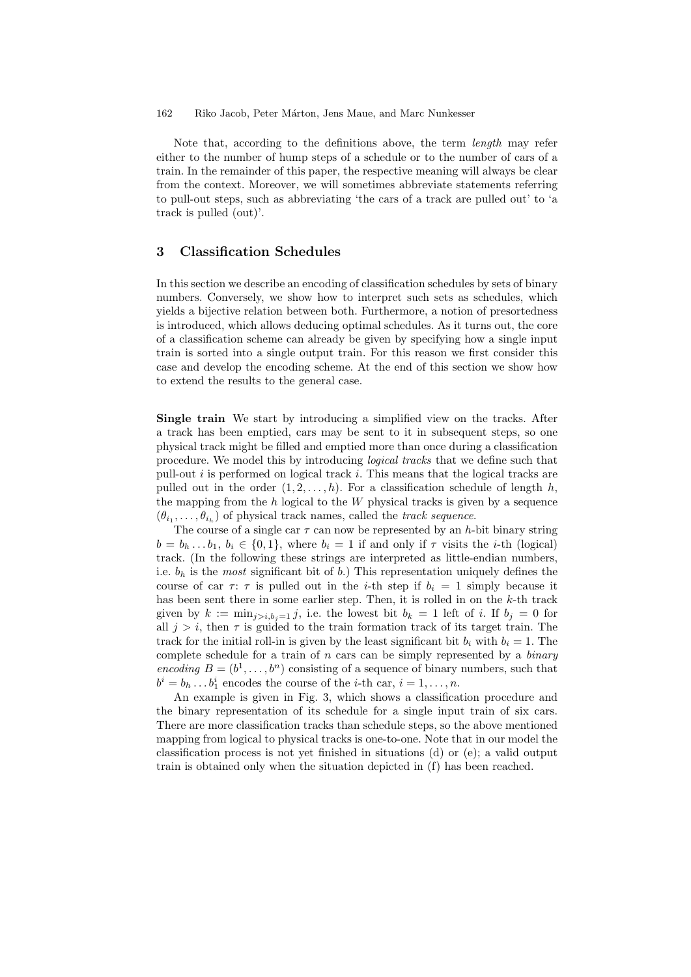Note that, according to the definitions above, the term length may refer either to the number of hump steps of a schedule or to the number of cars of a train. In the remainder of this paper, the respective meaning will always be clear from the context. Moreover, we will sometimes abbreviate statements referring to pull-out steps, such as abbreviating 'the cars of a track are pulled out' to 'a track is pulled (out)'.

## 3 Classification Schedules

In this section we describe an encoding of classification schedules by sets of binary numbers. Conversely, we show how to interpret such sets as schedules, which yields a bijective relation between both. Furthermore, a notion of presortedness is introduced, which allows deducing optimal schedules. As it turns out, the core of a classification scheme can already be given by specifying how a single input train is sorted into a single output train. For this reason we first consider this case and develop the encoding scheme. At the end of this section we show how to extend the results to the general case.

Single train We start by introducing a simplified view on the tracks. After a track has been emptied, cars may be sent to it in subsequent steps, so one physical track might be filled and emptied more than once during a classification procedure. We model this by introducing logical tracks that we define such that pull-out  $i$  is performed on logical track  $i$ . This means that the logical tracks are pulled out in the order  $(1, 2, \ldots, h)$ . For a classification schedule of length h, the mapping from the  $h$  logical to the  $W$  physical tracks is given by a sequence  $(\theta_{i_1}, \ldots, \theta_{i_h})$  of physical track names, called the *track sequence*.

The course of a single car  $\tau$  can now be represented by an h-bit binary string  $b = b_h \dots b_1, b_i \in \{0, 1\}$ , where  $b_i = 1$  if and only if  $\tau$  visits the *i*-th (logical) track. (In the following these strings are interpreted as little-endian numbers, i.e.  $b_h$  is the most significant bit of b.) This representation uniquely defines the course of car  $\tau$ :  $\tau$  is pulled out in the *i*-th step if  $b_i = 1$  simply because it has been sent there in some earlier step. Then, it is rolled in on the k-th track given by  $k := \min_{j>i, b_j=1} j$ , i.e. the lowest bit  $b_k = 1$  left of i. If  $b_j = 0$  for all  $j > i$ , then  $\tau$  is guided to the train formation track of its target train. The track for the initial roll-in is given by the least significant bit  $b_i$  with  $b_i = 1$ . The complete schedule for a train of  $n$  cars can be simply represented by a *binary* encoding  $B = (b^1, \ldots, b^n)$  consisting of a sequence of binary numbers, such that  $b^i = b_h \dots b_1^i$  encodes the course of the *i*-th car,  $i = 1, \dots, n$ .

An example is given in Fig. 3, which shows a classification procedure and the binary representation of its schedule for a single input train of six cars. There are more classification tracks than schedule steps, so the above mentioned mapping from logical to physical tracks is one-to-one. Note that in our model the classification process is not yet finished in situations (d) or (e); a valid output train is obtained only when the situation depicted in (f) has been reached.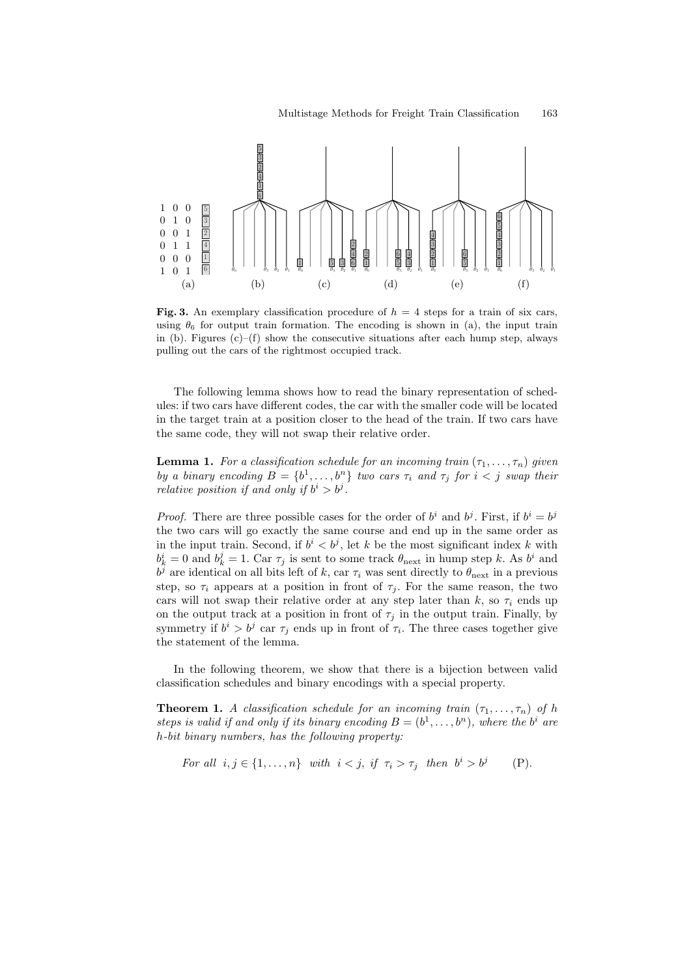

Fig. 3. An exemplary classification procedure of  $h = 4$  steps for a train of six cars, using  $\theta_6$  for output train formation. The encoding is shown in (a), the input train in (b). Figures  $(c)$ –(f) show the consecutive situations after each hump step, always pulling out the cars of the rightmost occupied track.

The following lemma shows how to read the binary representation of schedules: if two cars have different codes, the car with the smaller code will be located in the target train at a position closer to the head of the train. If two cars have the same code, they will not swap their relative order.

**Lemma 1.** For a classification schedule for an incoming train  $(\tau_1, \ldots, \tau_n)$  given by a binary encoding  $B = \{b^1, \ldots, b^n\}$  two cars  $\tau_i$  and  $\tau_j$  for  $i < j$  swap their relative position if and only if  $b^i > b^j$ .

*Proof.* There are three possible cases for the order of  $b^i$  and  $b^j$ . First, if  $b^i = b^j$ the two cars will go exactly the same course and end up in the same order as in the input train. Second, if  $b^i < b^j$ , let k be the most significant index k with  $b_k^i = 0$  and  $b_k^j = 1$ . Car  $\tau_j$  is sent to some track  $\theta_{\text{next}}$  in hump step k. As  $b^i$  and  $b^j$  are identical on all bits left of k, car  $\tau_i$  was sent directly to  $\theta_{\text{next}}$  in a previous step, so  $\tau_i$  appears at a position in front of  $\tau_i$ . For the same reason, the two cars will not swap their relative order at any step later than k, so  $\tau_i$  ends up on the output track at a position in front of  $\tau_i$  in the output train. Finally, by symmetry if  $b^i > b^j$  car  $\tau_j$  ends up in front of  $\tau_i$ . The three cases together give the statement of the lemma.

In the following theorem, we show that there is a bijection between valid classification schedules and binary encodings with a special property.

**Theorem 1.** A classification schedule for an incoming train  $(\tau_1, \ldots, \tau_n)$  of h steps is valid if and only if its binary encoding  $B = (b^1, \ldots, b^n)$ , where the  $b^i$  are h-bit binary numbers, has the following property:

For all 
$$
i, j \in \{1, ..., n\}
$$
 with  $i < j$ , if  $\tau_i > \tau_j$  then  $b^i > b^j$  (P).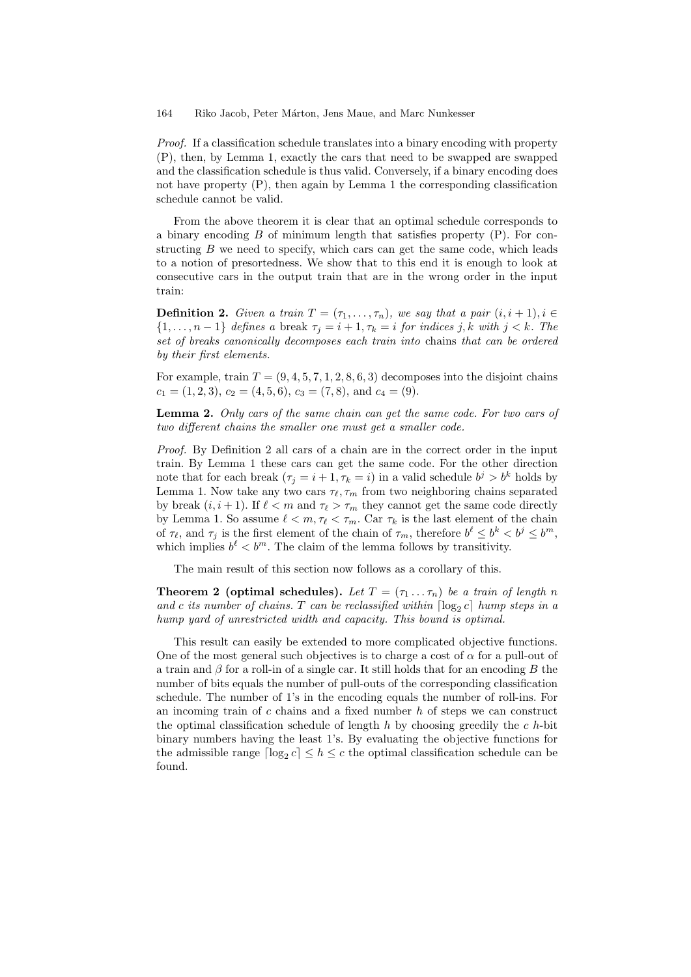Proof. If a classification schedule translates into a binary encoding with property (P), then, by Lemma 1, exactly the cars that need to be swapped are swapped and the classification schedule is thus valid. Conversely, if a binary encoding does not have property (P), then again by Lemma 1 the corresponding classification schedule cannot be valid.

From the above theorem it is clear that an optimal schedule corresponds to a binary encoding  $B$  of minimum length that satisfies property  $(P)$ . For constructing  $B$  we need to specify, which cars can get the same code, which leads to a notion of presortedness. We show that to this end it is enough to look at consecutive cars in the output train that are in the wrong order in the input train:

**Definition 2.** Given a train  $T = (\tau_1, \ldots, \tau_n)$ , we say that a pair  $(i, i + 1), i \in$  $\{1,\ldots,n-1\}$  defines a break  $\tau_j=i+1,\tau_k=i$  for indices j, k with  $j < k$ . The set of breaks canonically decomposes each train into chains that can be ordered by their first elements.

For example, train  $T = (9, 4, 5, 7, 1, 2, 8, 6, 3)$  decomposes into the disjoint chains  $c_1 = (1, 2, 3), c_2 = (4, 5, 6), c_3 = (7, 8), \text{ and } c_4 = (9).$ 

Lemma 2. Only cars of the same chain can get the same code. For two cars of two different chains the smaller one must get a smaller code.

Proof. By Definition 2 all cars of a chain are in the correct order in the input train. By Lemma 1 these cars can get the same code. For the other direction note that for each break  $(\tau_j = i + 1, \tau_k = i)$  in a valid schedule  $b^j > b^k$  holds by Lemma 1. Now take any two cars  $\tau_{\ell}, \tau_m$  from two neighboring chains separated by break  $(i, i + 1)$ . If  $\ell < m$  and  $\tau_{\ell} > \tau_m$  they cannot get the same code directly by Lemma 1. So assume  $\ell < m, \tau_{\ell} < \tau_m$ . Car  $\tau_k$  is the last element of the chain of  $\tau_{\ell}$ , and  $\tau_j$  is the first element of the chain of  $\tau_m$ , therefore  $b^{\ell} \leq b^k < b^j \leq b^m$ , which implies  $b^{\ell} < b^m$ . The claim of the lemma follows by transitivity.

The main result of this section now follows as a corollary of this.

**Theorem 2 (optimal schedules).** Let  $T = (\tau_1 \dots \tau_n)$  be a train of length n and c its number of chains. T can be reclassified within  $\lceil \log_2 c \rceil$  hump steps in a hump yard of unrestricted width and capacity. This bound is optimal.

This result can easily be extended to more complicated objective functions. One of the most general such objectives is to charge a cost of  $\alpha$  for a pull-out of a train and  $\beta$  for a roll-in of a single car. It still holds that for an encoding B the number of bits equals the number of pull-outs of the corresponding classification schedule. The number of 1's in the encoding equals the number of roll-ins. For an incoming train of  $c$  chains and a fixed number  $h$  of steps we can construct the optimal classification schedule of length  $h$  by choosing greedily the  $c$   $h$ -bit binary numbers having the least 1's. By evaluating the objective functions for the admissible range  $\lceil \log_2 c \rceil \leq h \leq c$  the optimal classification schedule can be found.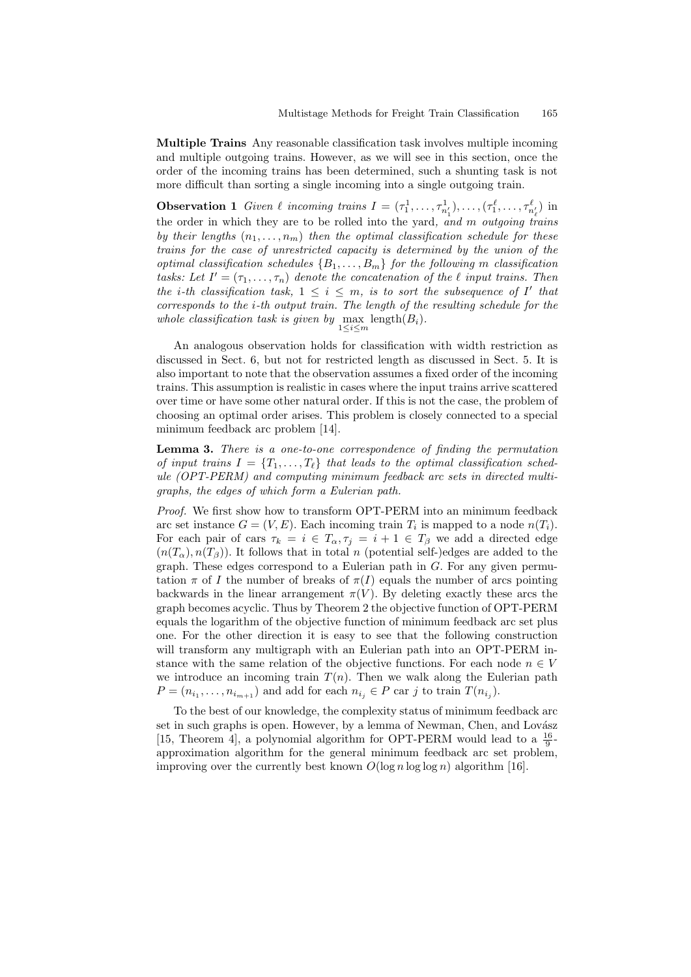Multiple Trains Any reasonable classification task involves multiple incoming and multiple outgoing trains. However, as we will see in this section, once the order of the incoming trains has been determined, such a shunting task is not more difficult than sorting a single incoming into a single outgoing train.

**Observation 1** Given  $\ell$  incoming trains  $I = (\tau_1^1, \ldots, \tau_{n'_1}^1), \ldots, (\tau_1^{\ell}, \ldots, \tau_{n'_{\ell}}^{\ell})$  in the order in which they are to be rolled into the yard, and m outgoing trains by their lengths  $(n_1, \ldots, n_m)$  then the optimal classification schedule for these trains for the case of unrestricted capacity is determined by the union of the optimal classification schedules  $\{B_1, \ldots, B_m\}$  for the following m classification tasks: Let  $I' = (\tau_1, \ldots, \tau_n)$  denote the concatenation of the  $\ell$  input trains. Then the *i*-th classification task,  $1 \leq i \leq m$ , is to sort the subsequence of I' that corresponds to the i-th output train. The length of the resulting schedule for the whole classification task is given by  $\max_{1 \leq i \leq m}$  length $(B_i)$ .

An analogous observation holds for classification with width restriction as discussed in Sect. 6, but not for restricted length as discussed in Sect. 5. It is also important to note that the observation assumes a fixed order of the incoming trains. This assumption is realistic in cases where the input trains arrive scattered over time or have some other natural order. If this is not the case, the problem of choosing an optimal order arises. This problem is closely connected to a special minimum feedback arc problem [14].

Lemma 3. There is a one-to-one correspondence of finding the permutation of input trains  $I = \{T_1, \ldots, T_\ell\}$  that leads to the optimal classification schedule (OPT-PERM) and computing minimum feedback arc sets in directed multigraphs, the edges of which form a Eulerian path.

Proof. We first show how to transform OPT-PERM into an minimum feedback arc set instance  $G = (V, E)$ . Each incoming train  $T_i$  is mapped to a node  $n(T_i)$ . For each pair of cars  $\tau_k = i \in T_\alpha, \tau_j = i + 1 \in T_\beta$  we add a directed edge  $(n(T_{\alpha}), n(T_{\beta}))$ . It follows that in total n (potential self-)edges are added to the graph. These edges correspond to a Eulerian path in  $G$ . For any given permutation  $\pi$  of I the number of breaks of  $\pi(I)$  equals the number of arcs pointing backwards in the linear arrangement  $\pi(V)$ . By deleting exactly these arcs the graph becomes acyclic. Thus by Theorem 2 the objective function of OPT-PERM equals the logarithm of the objective function of minimum feedback arc set plus one. For the other direction it is easy to see that the following construction will transform any multigraph with an Eulerian path into an OPT-PERM instance with the same relation of the objective functions. For each node  $n \in V$ we introduce an incoming train  $T(n)$ . Then we walk along the Eulerian path  $P = (n_{i_1}, \ldots, n_{i_{m+1}})$  and add for each  $n_{i_j} \in P$  car j to train  $T(n_{i_j})$ .

To the best of our knowledge, the complexity status of minimum feedback arc set in such graphs is open. However, by a lemma of Newman, Chen, and Lovász [15, Theorem 4], a polynomial algorithm for OPT-PERM would lead to a  $\frac{16}{9}$ approximation algorithm for the general minimum feedback arc set problem, improving over the currently best known  $O(\log n \log \log n)$  algorithm [16].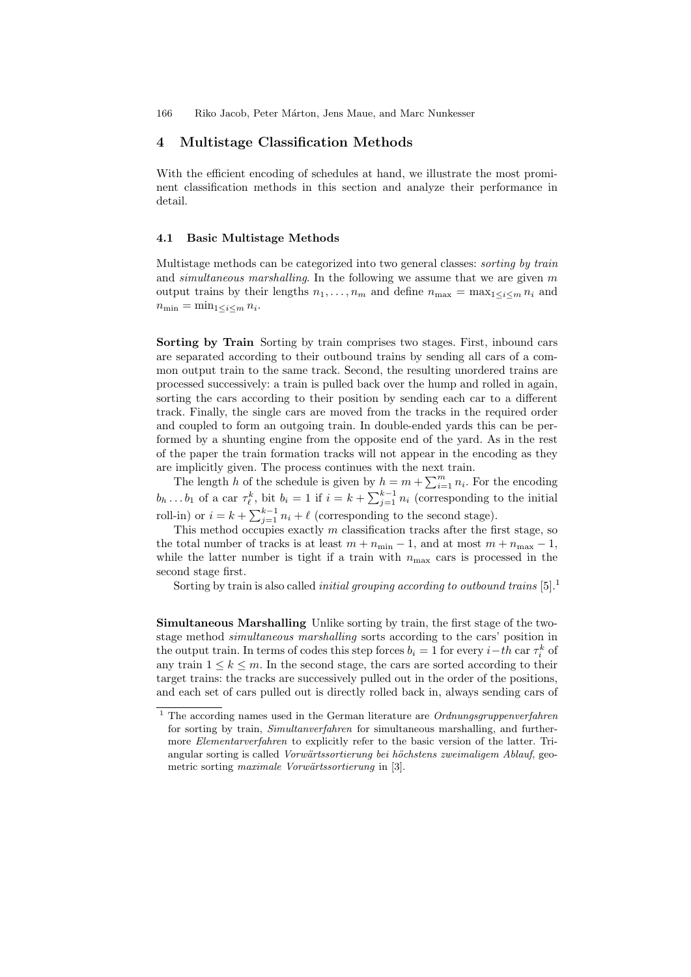#### 4 Multistage Classification Methods

With the efficient encoding of schedules at hand, we illustrate the most prominent classification methods in this section and analyze their performance in detail.

#### 4.1 Basic Multistage Methods

Multistage methods can be categorized into two general classes: *sorting by train* and simultaneous marshalling. In the following we assume that we are given  $m$ output trains by their lengths  $n_1, \ldots, n_m$  and define  $n_{\max} = \max_{1 \leq i \leq m} n_i$  and  $n_{\min} = \min_{1 \leq i \leq m} n_i$ .

Sorting by Train Sorting by train comprises two stages. First, inbound cars are separated according to their outbound trains by sending all cars of a common output train to the same track. Second, the resulting unordered trains are processed successively: a train is pulled back over the hump and rolled in again, sorting the cars according to their position by sending each car to a different track. Finally, the single cars are moved from the tracks in the required order and coupled to form an outgoing train. In double-ended yards this can be performed by a shunting engine from the opposite end of the yard. As in the rest of the paper the train formation tracks will not appear in the encoding as they are implicitly given. The process continues with the next train.

The length h of the schedule is given by  $h = m + \sum_{i=1}^{m} n_i$ . For the encoding  $b_h \dots b_1$  of a car  $\tau_{\ell}^k$ , bit  $b_i = 1$  if  $i = k + \sum_{j=1}^{k-1} n_i$  (corresponding to the initial roll-in) or  $i = k + \sum_{j=1}^{k-1} n_i + \ell$  (corresponding to the second stage).

This method occupies exactly  $m$  classification tracks after the first stage, so the total number of tracks is at least  $m + n_{\min} - 1$ , and at most  $m + n_{\max} - 1$ , while the latter number is tight if a train with  $n_{\text{max}}$  cars is processed in the second stage first.

Sorting by train is also called *initial grouping according to outbound trains*  $[5]$ <sup>1</sup>

Simultaneous Marshalling Unlike sorting by train, the first stage of the twostage method simultaneous marshalling sorts according to the cars' position in the output train. In terms of codes this step forces  $b_i = 1$  for every  $i-th$  car  $\tau_i^k$  of any train  $1 \leq k \leq m$ . In the second stage, the cars are sorted according to their target trains: the tracks are successively pulled out in the order of the positions, and each set of cars pulled out is directly rolled back in, always sending cars of

 $^{\rm 1}$  The according names used in the German literature are  $Ordnungsgrupperfahren$ for sorting by train, Simultanverfahren for simultaneous marshalling, and furthermore Elementarverfahren to explicitly refer to the basic version of the latter. Triangular sorting is called Vorwärtssortierung bei höchstens zweimaligem Ablauf, geometric sorting maximale Vorwärtssortierung in [3].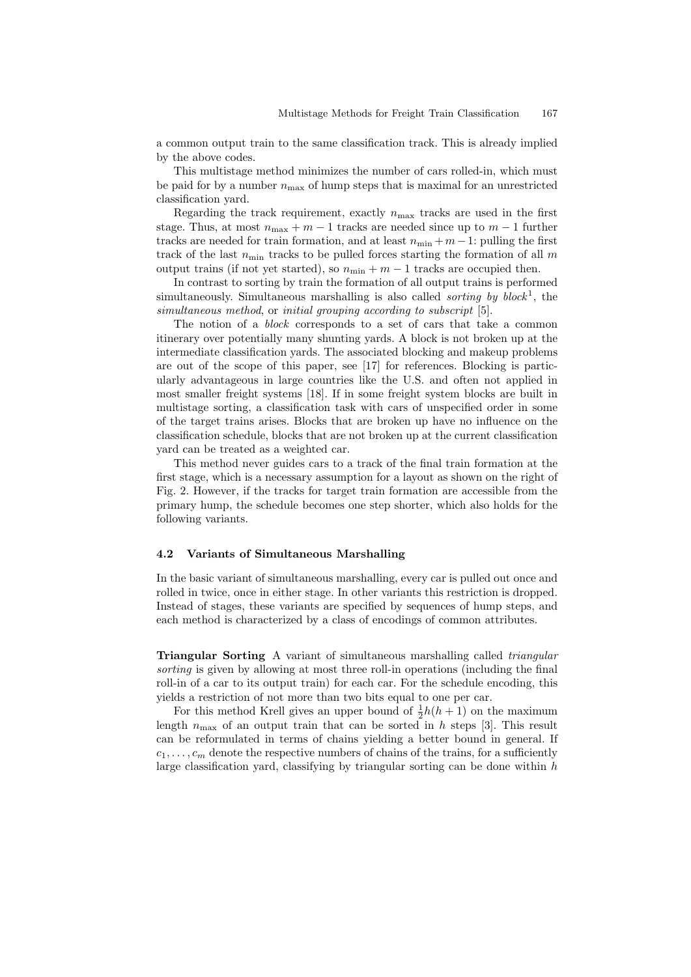a common output train to the same classification track. This is already implied by the above codes.

This multistage method minimizes the number of cars rolled-in, which must be paid for by a number  $n_{\text{max}}$  of hump steps that is maximal for an unrestricted classification yard.

Regarding the track requirement, exactly  $n_{\text{max}}$  tracks are used in the first stage. Thus, at most  $n_{\text{max}} + m - 1$  tracks are needed since up to  $m - 1$  further tracks are needed for train formation, and at least  $n_{\min} + m - 1$ : pulling the first track of the last  $n_{\text{min}}$  tracks to be pulled forces starting the formation of all m output trains (if not yet started), so  $n_{\min} + m - 1$  tracks are occupied then.

In contrast to sorting by train the formation of all output trains is performed simultaneously. Simultaneous marshalling is also called *sorting by block*<sup>1</sup>, the simultaneous method, or initial grouping according to subscript [5].

The notion of a *block* corresponds to a set of cars that take a common itinerary over potentially many shunting yards. A block is not broken up at the intermediate classification yards. The associated blocking and makeup problems are out of the scope of this paper, see [17] for references. Blocking is particularly advantageous in large countries like the U.S. and often not applied in most smaller freight systems [18]. If in some freight system blocks are built in multistage sorting, a classification task with cars of unspecified order in some of the target trains arises. Blocks that are broken up have no influence on the classification schedule, blocks that are not broken up at the current classification yard can be treated as a weighted car.

This method never guides cars to a track of the final train formation at the first stage, which is a necessary assumption for a layout as shown on the right of Fig. 2. However, if the tracks for target train formation are accessible from the primary hump, the schedule becomes one step shorter, which also holds for the following variants.

#### 4.2 Variants of Simultaneous Marshalling

In the basic variant of simultaneous marshalling, every car is pulled out once and rolled in twice, once in either stage. In other variants this restriction is dropped. Instead of stages, these variants are specified by sequences of hump steps, and each method is characterized by a class of encodings of common attributes.

**Triangular Sorting** A variant of simultaneous marshalling called *triangular* sorting is given by allowing at most three roll-in operations (including the final roll-in of a car to its output train) for each car. For the schedule encoding, this yields a restriction of not more than two bits equal to one per car.

For this method Krell gives an upper bound of  $\frac{1}{2}h(h+1)$  on the maximum length  $n_{\text{max}}$  of an output train that can be sorted in h steps [3]. This result can be reformulated in terms of chains yielding a better bound in general. If  $c_1, \ldots, c_m$  denote the respective numbers of chains of the trains, for a sufficiently large classification yard, classifying by triangular sorting can be done within  $h$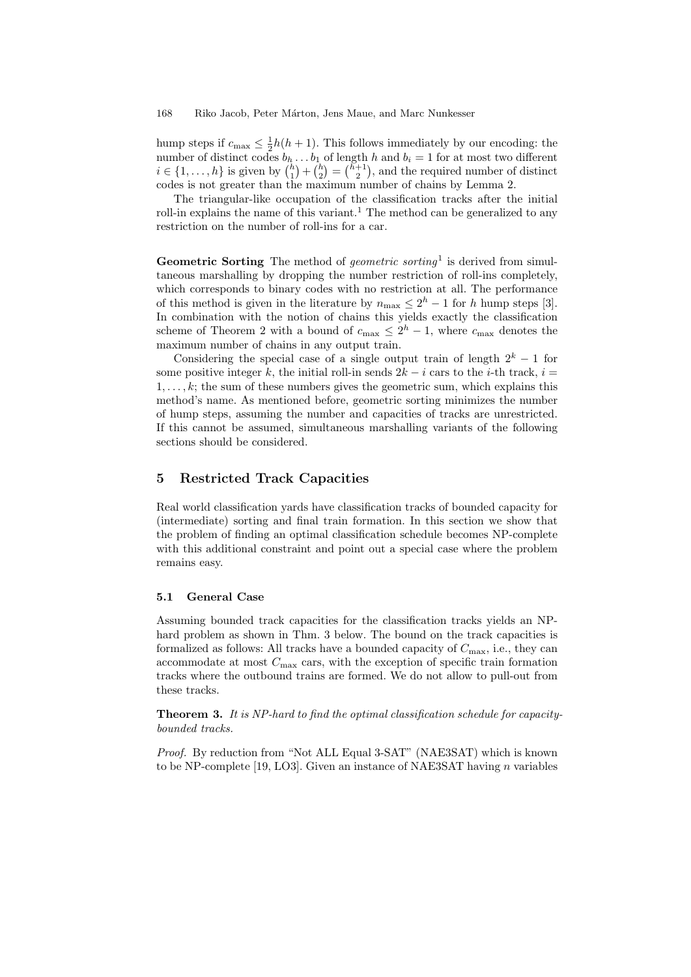hump steps if  $c_{\text{max}} \leq \frac{1}{2}h(h+1)$ . This follows immediately by our encoding: the number of distinct codes  $b_h \dots b_1$  of length h and  $b_i = 1$  for at most two different  $i \in \{1, \ldots, h\}$  is given by  $\binom{h}{1} + \binom{h}{2} = \binom{h+1}{2}$ , and the required number of distinct codes is not greater than the maximum number of chains by Lemma 2.

The triangular-like occupation of the classification tracks after the initial roll-in explains the name of this variant.<sup>1</sup> The method can be generalized to any restriction on the number of roll-ins for a car.

Geometric Sorting The method of *geometric sorting*<sup>1</sup> is derived from simultaneous marshalling by dropping the number restriction of roll-ins completely, which corresponds to binary codes with no restriction at all. The performance of this method is given in the literature by  $n_{\text{max}} \leq 2^h - 1$  for h hump steps [3]. In combination with the notion of chains this yields exactly the classification scheme of Theorem 2 with a bound of  $c_{\text{max}} \leq 2^h - 1$ , where  $c_{\text{max}}$  denotes the maximum number of chains in any output train.

Considering the special case of a single output train of length  $2^k - 1$  for some positive integer k, the initial roll-in sends  $2k - i$  cars to the i-th track,  $i =$  $1, \ldots, k$ ; the sum of these numbers gives the geometric sum, which explains this method's name. As mentioned before, geometric sorting minimizes the number of hump steps, assuming the number and capacities of tracks are unrestricted. If this cannot be assumed, simultaneous marshalling variants of the following sections should be considered.

## 5 Restricted Track Capacities

Real world classification yards have classification tracks of bounded capacity for (intermediate) sorting and final train formation. In this section we show that the problem of finding an optimal classification schedule becomes NP-complete with this additional constraint and point out a special case where the problem remains easy.

#### 5.1 General Case

Assuming bounded track capacities for the classification tracks yields an NPhard problem as shown in Thm. 3 below. The bound on the track capacities is formalized as follows: All tracks have a bounded capacity of  $C_{\text{max}}$ , i.e., they can accommodate at most  $C_{\text{max}}$  cars, with the exception of specific train formation tracks where the outbound trains are formed. We do not allow to pull-out from these tracks.

Theorem 3. It is NP-hard to find the optimal classification schedule for capacitybounded tracks.

Proof. By reduction from "Not ALL Equal 3-SAT" (NAE3SAT) which is known to be NP-complete [19, LO3]. Given an instance of NAE3SAT having  $n$  variables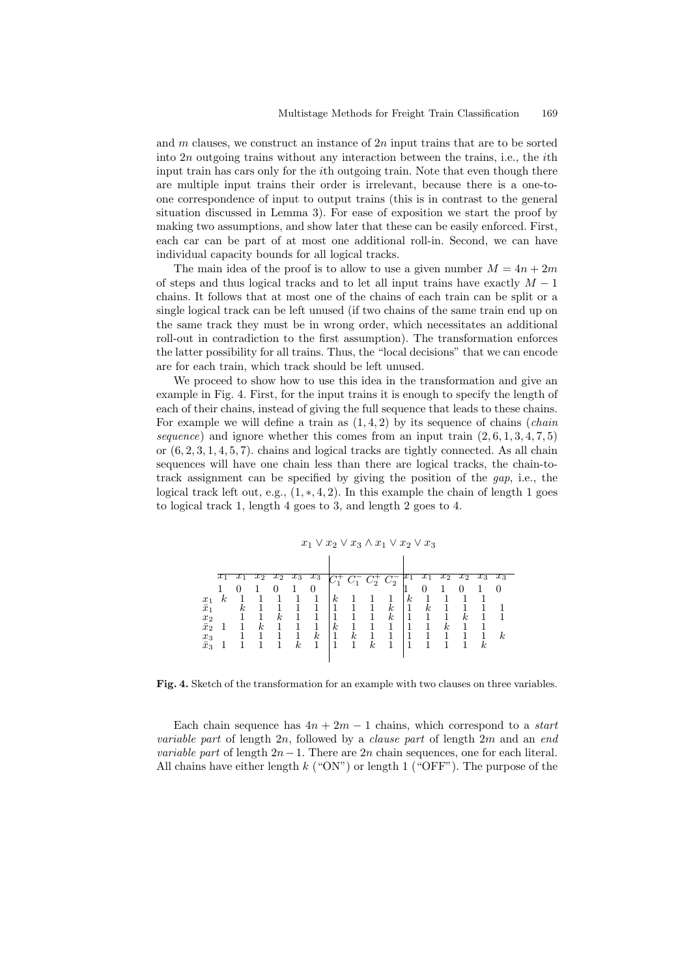and m clauses, we construct an instance of  $2n$  input trains that are to be sorted into  $2n$  outgoing trains without any interaction between the trains, i.e., the *i*th input train has cars only for the ith outgoing train. Note that even though there are multiple input trains their order is irrelevant, because there is a one-toone correspondence of input to output trains (this is in contrast to the general situation discussed in Lemma 3). For ease of exposition we start the proof by making two assumptions, and show later that these can be easily enforced. First, each car can be part of at most one additional roll-in. Second, we can have individual capacity bounds for all logical tracks.

The main idea of the proof is to allow to use a given number  $M = 4n + 2m$ of steps and thus logical tracks and to let all input trains have exactly  $M-1$ chains. It follows that at most one of the chains of each train can be split or a single logical track can be left unused (if two chains of the same train end up on the same track they must be in wrong order, which necessitates an additional roll-out in contradiction to the first assumption). The transformation enforces the latter possibility for all trains. Thus, the "local decisions" that we can encode are for each train, which track should be left unused.

We proceed to show how to use this idea in the transformation and give an example in Fig. 4. First, for the input trains it is enough to specify the length of each of their chains, instead of giving the full sequence that leads to these chains. For example we will define a train as  $(1, 4, 2)$  by its sequence of chains *(chain*) sequence) and ignore whether this comes from an input train  $(2, 6, 1, 3, 4, 7, 5)$ or  $(6, 2, 3, 1, 4, 5, 7)$ . chains and logical tracks are tightly connected. As all chain sequences will have one chain less than there are logical tracks, the chain-totrack assignment can be specified by giving the position of the  $qap$ , i.e., the logical track left out, e.g.,  $(1,*,4,2)$ . In this example the chain of length 1 goes to logical track 1, length 4 goes to 3, and length 2 goes to 4.

|                  | $x_1 \vee \overline{x}_2 \vee x_3 \wedge \overline{x}_1 \vee x_2 \vee \overline{x}_3$ |    |                  |    |                  |                  |                  |                  |                  |                  |                  |    |   |    |          |                  |  |
|------------------|---------------------------------------------------------------------------------------|----|------------------|----|------------------|------------------|------------------|------------------|------------------|------------------|------------------|----|---|----|----------|------------------|--|
|                  |                                                                                       |    |                  |    |                  |                  |                  |                  |                  |                  |                  |    |   |    |          |                  |  |
|                  | $\tau_{\scriptscriptstyle{\overline{1}}}$                                             |    | xΣ               |    | XЗ               | $x_3$            | C÷               | $C_1$            | $C_2^+ C_2^-$    |                  |                  |    |   |    | $x_3$    | $x_3$            |  |
|                  |                                                                                       |    |                  |    |                  | 0                |                  |                  |                  |                  |                  |    |   |    |          |                  |  |
| $\overline{x}_1$ | $\kappa$                                                                              |    |                  |    |                  |                  | $\boldsymbol{k}$ |                  |                  |                  | $\boldsymbol{k}$ |    |   |    |          |                  |  |
| $\bar{x}_1$      |                                                                                       | k. |                  |    |                  |                  |                  |                  |                  | $\boldsymbol{k}$ |                  | k. |   |    |          |                  |  |
| $\overline{x_2}$ |                                                                                       |    |                  | k. |                  |                  |                  |                  |                  | $\boldsymbol{k}$ |                  |    |   | k. |          |                  |  |
| $\bar{x}_2$      |                                                                                       |    | $\boldsymbol{k}$ |    |                  |                  | $\boldsymbol{k}$ |                  |                  |                  |                  |    | k |    |          |                  |  |
| $x_3$            |                                                                                       |    |                  |    |                  | $\boldsymbol{k}$ |                  | $\boldsymbol{k}$ |                  |                  |                  |    |   |    |          | $\boldsymbol{k}$ |  |
| $\bar{x}_3$      |                                                                                       |    |                  |    | $\boldsymbol{k}$ |                  |                  |                  | $\boldsymbol{k}$ |                  |                  |    |   |    | $\kappa$ |                  |  |
|                  |                                                                                       |    |                  |    |                  |                  |                  |                  |                  |                  |                  |    |   |    |          |                  |  |

Fig. 4. Sketch of the transformation for an example with two clauses on three variables.

Each chain sequence has  $4n + 2m - 1$  chains, which correspond to a *start variable part* of length  $2n$ , followed by a *clause part* of length  $2m$  and an end *variable part* of length  $2n-1$ . There are  $2n$  chain sequences, one for each literal. All chains have either length  $k$  ("ON") or length 1 ("OFF"). The purpose of the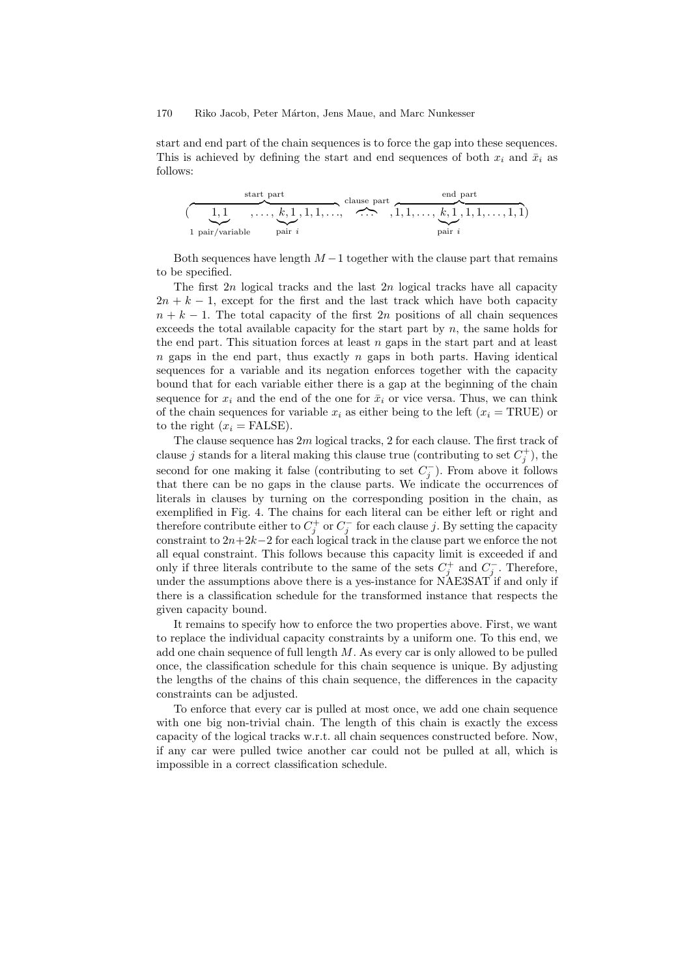start and end part of the chain sequences is to force the gap into these sequences. This is achieved by defining the start and end sequences of both  $x_i$  and  $\bar{x}_i$  as follows:

start part  
\n
$$
\overbrace{(1,1,\ldots,\underbrace{k,1}_{\text{pair }i},1,1,1,\ldots,\ldots}^{\text{start}}),\overbrace{(1,1,\ldots,\underbrace{k,1}_{\text{pair }i},1,1,\ldots,1,1)}^{\text{end part}}
$$

Both sequences have length  $M-1$  together with the clause part that remains to be specified.

The first  $2n$  logical tracks and the last  $2n$  logical tracks have all capacity  $2n + k - 1$ , except for the first and the last track which have both capacity  $n + k - 1$ . The total capacity of the first 2n positions of all chain sequences exceeds the total available capacity for the start part by  $n$ , the same holds for the end part. This situation forces at least  $n$  gaps in the start part and at least  $n$  gaps in the end part, thus exactly  $n$  gaps in both parts. Having identical sequences for a variable and its negation enforces together with the capacity bound that for each variable either there is a gap at the beginning of the chain sequence for  $x_i$  and the end of the one for  $\bar{x}_i$  or vice versa. Thus, we can think of the chain sequences for variable  $x_i$  as either being to the left ( $x_i = \text{TRUE}$ ) or to the right  $(x_i = \text{FALSE})$ .

The clause sequence has 2m logical tracks, 2 for each clause. The first track of clause j stands for a literal making this clause true (contributing to set  $C_j^+$ ), the second for one making it false (contributing to set  $C_j^-$ ). From above it follows that there can be no gaps in the clause parts. We indicate the occurrences of literals in clauses by turning on the corresponding position in the chain, as exemplified in Fig. 4. The chains for each literal can be either left or right and therefore contribute either to  $C_j^+$  or  $C_j^-$  for each clause j. By setting the capacity constraint to  $2n+2k-2$  for each logical track in the clause part we enforce the not all equal constraint. This follows because this capacity limit is exceeded if and only if three literals contribute to the same of the sets  $C_j^+$  and  $C_j^-$ . Therefore, under the assumptions above there is a yes-instance for NAE3SAT if and only if there is a classification schedule for the transformed instance that respects the given capacity bound.

It remains to specify how to enforce the two properties above. First, we want to replace the individual capacity constraints by a uniform one. To this end, we add one chain sequence of full length  $M$ . As every car is only allowed to be pulled once, the classification schedule for this chain sequence is unique. By adjusting the lengths of the chains of this chain sequence, the differences in the capacity constraints can be adjusted.

To enforce that every car is pulled at most once, we add one chain sequence with one big non-trivial chain. The length of this chain is exactly the excess capacity of the logical tracks w.r.t. all chain sequences constructed before. Now, if any car were pulled twice another car could not be pulled at all, which is impossible in a correct classification schedule.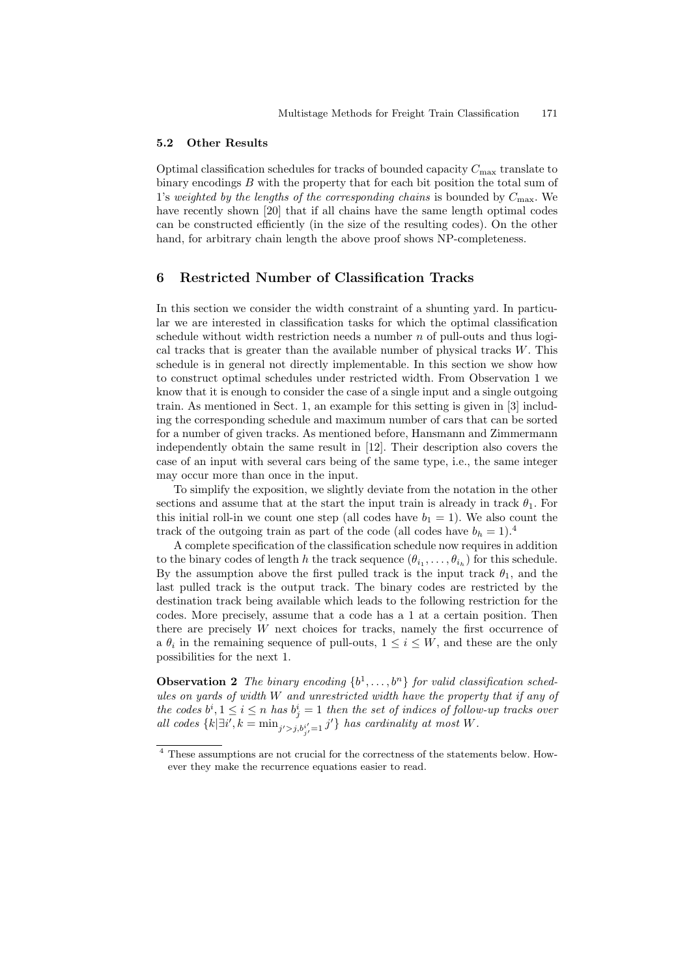#### 5.2 Other Results

Optimal classification schedules for tracks of bounded capacity  $C_{\text{max}}$  translate to binary encodings  $B$  with the property that for each bit position the total sum of 1's weighted by the lengths of the corresponding chains is bounded by  $C_{\text{max}}$ . We have recently shown [20] that if all chains have the same length optimal codes can be constructed efficiently (in the size of the resulting codes). On the other hand, for arbitrary chain length the above proof shows NP-completeness.

## 6 Restricted Number of Classification Tracks

In this section we consider the width constraint of a shunting yard. In particular we are interested in classification tasks for which the optimal classification schedule without width restriction needs a number  $n$  of pull-outs and thus logical tracks that is greater than the available number of physical tracks  $W$ . This schedule is in general not directly implementable. In this section we show how to construct optimal schedules under restricted width. From Observation 1 we know that it is enough to consider the case of a single input and a single outgoing train. As mentioned in Sect. 1, an example for this setting is given in [3] including the corresponding schedule and maximum number of cars that can be sorted for a number of given tracks. As mentioned before, Hansmann and Zimmermann independently obtain the same result in [12]. Their description also covers the case of an input with several cars being of the same type, i.e., the same integer may occur more than once in the input.

To simplify the exposition, we slightly deviate from the notation in the other sections and assume that at the start the input train is already in track  $\theta_1$ . For this initial roll-in we count one step (all codes have  $b_1 = 1$ ). We also count the track of the outgoing train as part of the code (all codes have  $b_h = 1$ ).<sup>4</sup>

A complete specification of the classification schedule now requires in addition to the binary codes of length h the track sequence  $(\theta_{i_1}, \ldots, \theta_{i_h})$  for this schedule. By the assumption above the first pulled track is the input track  $\theta_1$ , and the last pulled track is the output track. The binary codes are restricted by the destination track being available which leads to the following restriction for the codes. More precisely, assume that a code has a 1 at a certain position. Then there are precisely W next choices for tracks, namely the first occurrence of a  $\theta_i$  in the remaining sequence of pull-outs,  $1 \leq i \leq W$ , and these are the only possibilities for the next 1.

**Observation 2** The binary encoding  $\{b^1, \ldots, b^n\}$  for valid classification schedules on yards of width W and unrestricted width have the property that if any of the codes  $b^i, 1 \leq i \leq n$  has  $b^i_j = 1$  then the set of indices of follow-up tracks over all codes  $\{k|\exists i', k = \min_{j' > j, b_{j'}^{i'}=1} j'\}$  has cardinality at most W.

<sup>4</sup> These assumptions are not crucial for the correctness of the statements below. However they make the recurrence equations easier to read.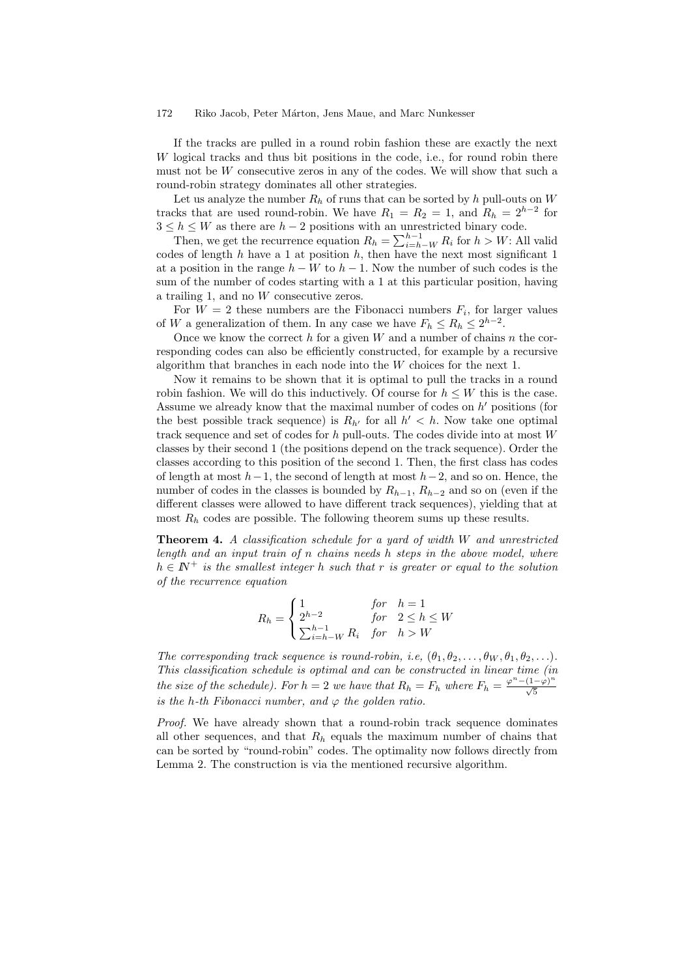If the tracks are pulled in a round robin fashion these are exactly the next W logical tracks and thus bit positions in the code, i.e., for round robin there must not be  $W$  consecutive zeros in any of the codes. We will show that such a round-robin strategy dominates all other strategies.

Let us analyze the number  $R_h$  of runs that can be sorted by h pull-outs on W tracks that are used round-robin. We have  $R_1 = R_2 = 1$ , and  $R_h = 2^{h-2}$  for  $3 \leq h \leq W$  as there are  $h-2$  positions with an unrestricted binary code.

Then, we get the recurrence equation  $R_h = \sum_{i=h-W}^{h-1} R_i$  for  $h > W$ : All valid codes of length h have a 1 at position h, then have the next most significant 1 at a position in the range  $h - W$  to  $h - 1$ . Now the number of such codes is the sum of the number of codes starting with a 1 at this particular position, having a trailing 1, and no W consecutive zeros.

For  $W = 2$  these numbers are the Fibonacci numbers  $F_i$ , for larger values of W a generalization of them. In any case we have  $F_h \le R_h \le 2^{h-2}$ .

Once we know the correct  $h$  for a given  $W$  and a number of chains  $n$  the corresponding codes can also be efficiently constructed, for example by a recursive algorithm that branches in each node into the  $W$  choices for the next 1.

Now it remains to be shown that it is optimal to pull the tracks in a round robin fashion. We will do this inductively. Of course for  $h \leq W$  this is the case. Assume we already know that the maximal number of codes on  $h'$  positions (for the best possible track sequence) is  $R_{h'}$  for all  $h' < h$ . Now take one optimal track sequence and set of codes for h pull-outs. The codes divide into at most W classes by their second 1 (the positions depend on the track sequence). Order the classes according to this position of the second 1. Then, the first class has codes of length at most  $h-1$ , the second of length at most  $h-2$ , and so on. Hence, the number of codes in the classes is bounded by  $R_{h-1}$ ,  $R_{h-2}$  and so on (even if the different classes were allowed to have different track sequences), yielding that at most  $R_h$  codes are possible. The following theorem sums up these results.

Theorem 4. A classification schedule for a yard of width W and unrestricted length and an input train of n chains needs  $h$  steps in the above model, where  $h \in I\!\!N^+$  is the smallest integer h such that r is greater or equal to the solution of the recurrence equation

$$
R_h = \begin{cases} 1 & \text{for} \quad h = 1 \\ 2^{h-2} & \text{for} \quad 2 \le h \le W \\ \sum_{i=h-W}^{h-1} R_i & \text{for} \quad h > W \end{cases}
$$

The corresponding track sequence is round-robin, i.e.,  $(\theta_1, \theta_2, \ldots, \theta_W, \theta_1, \theta_2, \ldots)$ . This classification schedule is optimal and can be constructed in linear time (in the size of the schedule). For  $h = 2$  we have that  $R_h = F_h$  where  $F_h = \frac{\varphi^n - (1-\varphi)^n}{\sqrt{5}}$ is the h-th Fibonacci number, and  $\varphi$  the golden ratio.

Proof. We have already shown that a round-robin track sequence dominates all other sequences, and that  $R_h$  equals the maximum number of chains that can be sorted by "round-robin" codes. The optimality now follows directly from Lemma 2. The construction is via the mentioned recursive algorithm.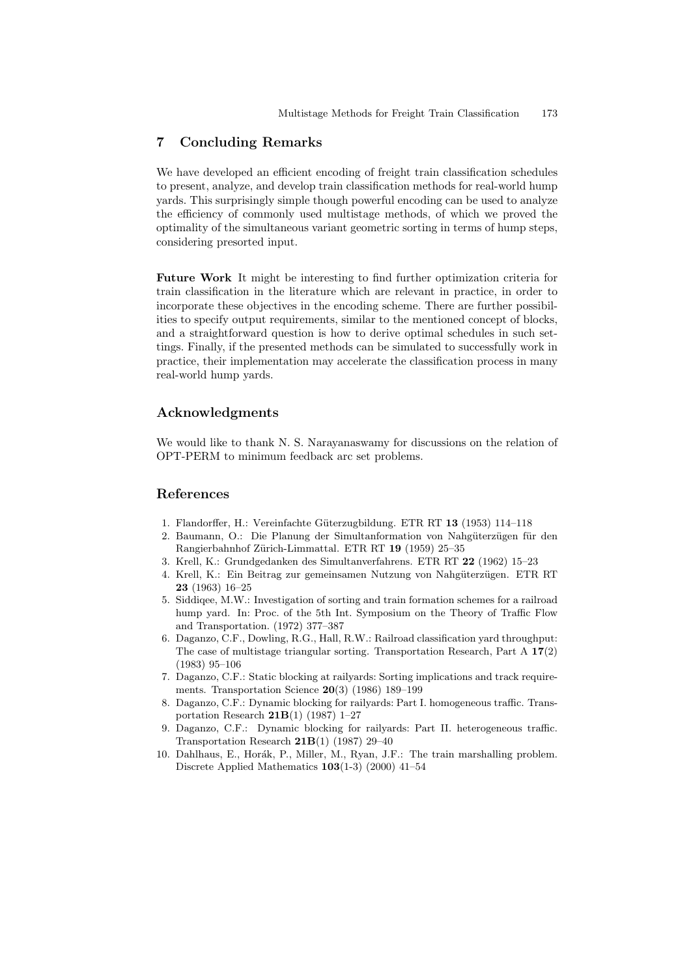## 7 Concluding Remarks

We have developed an efficient encoding of freight train classification schedules to present, analyze, and develop train classification methods for real-world hump yards. This surprisingly simple though powerful encoding can be used to analyze the efficiency of commonly used multistage methods, of which we proved the optimality of the simultaneous variant geometric sorting in terms of hump steps, considering presorted input.

Future Work It might be interesting to find further optimization criteria for train classification in the literature which are relevant in practice, in order to incorporate these objectives in the encoding scheme. There are further possibilities to specify output requirements, similar to the mentioned concept of blocks, and a straightforward question is how to derive optimal schedules in such settings. Finally, if the presented methods can be simulated to successfully work in practice, their implementation may accelerate the classification process in many real-world hump yards.

## Acknowledgments

We would like to thank N. S. Narayanaswamy for discussions on the relation of OPT-PERM to minimum feedback arc set problems.

#### References

- 1. Flandorffer, H.: Vereinfachte Güterzugbildung. ETR RT 13 (1953) 114–118
- 2. Baumann, O.: Die Planung der Simultanformation von Nahgüterzügen für den Rangierbahnhof Zürich-Limmattal. ETR RT 19 (1959) 25–35
- 3. Krell, K.: Grundgedanken des Simultanverfahrens. ETR RT 22 (1962) 15–23
- 4. Krell, K.: Ein Beitrag zur gemeinsamen Nutzung von Nahgüterzügen. ETR RT 23 (1963) 16–25
- 5. Siddiqee, M.W.: Investigation of sorting and train formation schemes for a railroad hump yard. In: Proc. of the 5th Int. Symposium on the Theory of Traffic Flow and Transportation. (1972) 377–387
- 6. Daganzo, C.F., Dowling, R.G., Hall, R.W.: Railroad classification yard throughput: The case of multistage triangular sorting. Transportation Research, Part A 17(2) (1983) 95–106
- 7. Daganzo, C.F.: Static blocking at railyards: Sorting implications and track requirements. Transportation Science 20(3) (1986) 189–199
- 8. Daganzo, C.F.: Dynamic blocking for railyards: Part I. homogeneous traffic. Transportation Research  $21B(1)$  (1987) 1–27
- 9. Daganzo, C.F.: Dynamic blocking for railyards: Part II. heterogeneous traffic. Transportation Research  $21B(1)$  (1987) 29-40
- 10. Dahlhaus, E., Horák, P., Miller, M., Ryan, J.F.: The train marshalling problem. Discrete Applied Mathematics 103(1-3) (2000) 41–54